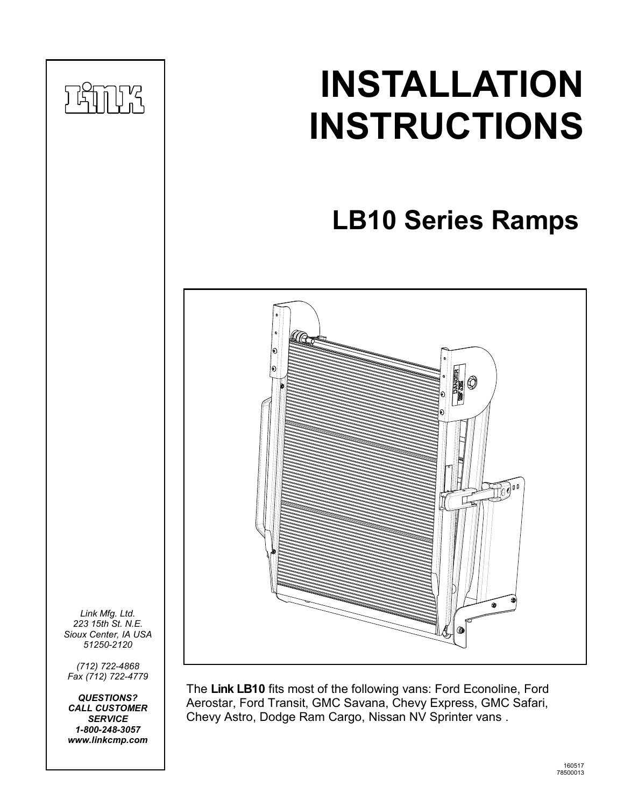

Aerostar, Ford Transit, GMC Savana, Chevy Express, GMC Safari, Chevy Astro, Dodge Ram Cargo, Nissan NV Sprinter vans .

*SERVICE 1-800-248-3057 www.linkcmp.com*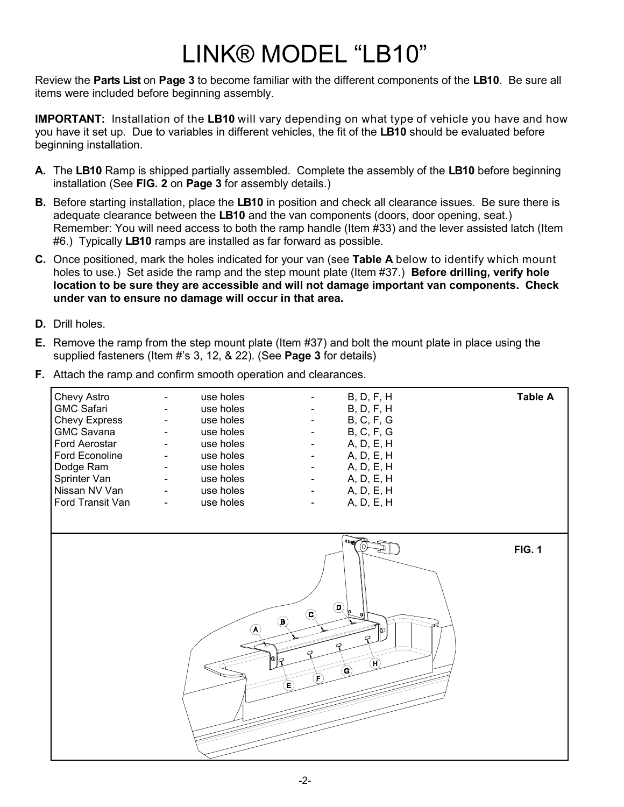## LINK® MODEL "LB10"

Review the **Parts List** on **Page 3** to become familiar with the different components of the **LB10**. Be sure all items were included before beginning assembly.

**IMPORTANT:** Installation of the **LB10** will vary depending on what type of vehicle you have and how you have it set up. Due to variables in different vehicles, the fit of the **LB10** should be evaluated before beginning installation.

- **A.** The **LB10** Ramp is shipped partially assembled. Complete the assembly of the **LB10** before beginning installation (See **FIG. 2** on **Page 3** for assembly details.)
- **B.** Before starting installation, place the **LB10** in position and check all clearance issues. Be sure there is adequate clearance between the **LB10** and the van components (doors, door opening, seat.) Remember: You will need access to both the ramp handle (Item #33) and the lever assisted latch (Item #6.) Typically **LB10** ramps are installed as far forward as possible.
- **C.** Once positioned, mark the holes indicated for your van (see **Table A** below to identify which mount holes to use.) Set aside the ramp and the step mount plate (Item #37.) **Before drilling, verify hole location to be sure they are accessible and will not damage important van components. Check under van to ensure no damage will occur in that area.**
- **D.** Drill holes.
- **E.** Remove the ramp from the step mount plate (Item #37) and bolt the mount plate in place using the supplied fasteners (Item #'s 3, 12, & 22). (See **Page 3** for details)

| <b>F.</b> Attach the ramp and confirm smooth operation and clearances. |  |  |
|------------------------------------------------------------------------|--|--|
|                                                                        |  |  |

| <b>Chevy Astro</b>   | $\overline{\phantom{a}}$ | use holes |                          | B, D, F, H        | <b>Table A</b> |
|----------------------|--------------------------|-----------|--------------------------|-------------------|----------------|
| GMC Safari           | $\overline{\phantom{a}}$ | use holes | $\overline{\phantom{a}}$ | B, D, F, H        |                |
| <b>Chevy Express</b> | $\overline{\phantom{a}}$ | use holes |                          | B, C, F, G        |                |
| GMC Savana           | $\overline{\phantom{a}}$ | use holes | $\blacksquare$           | <b>B, C, F, G</b> |                |
| l Ford Aerostar      | $\overline{\phantom{a}}$ | use holes | ۰.                       | A, D, E, H        |                |
| Ford Econoline       | $\overline{\phantom{a}}$ | use holes | -                        | A, D, E, H        |                |
| Dodge Ram            | $\blacksquare$           | use holes | $\overline{\phantom{a}}$ | A, D, E, H        |                |
| Sprinter Van         | $\blacksquare$           | use holes | $\overline{\phantom{a}}$ | A, D, E, H        |                |
| Nissan NV Van        | $\blacksquare$           | use holes |                          | A, D, E, H        |                |
| Ford Transit Van     | $\overline{\phantom{0}}$ | use holes | -                        | A, D, E, H        |                |
|                      |                          |           |                          |                   |                |